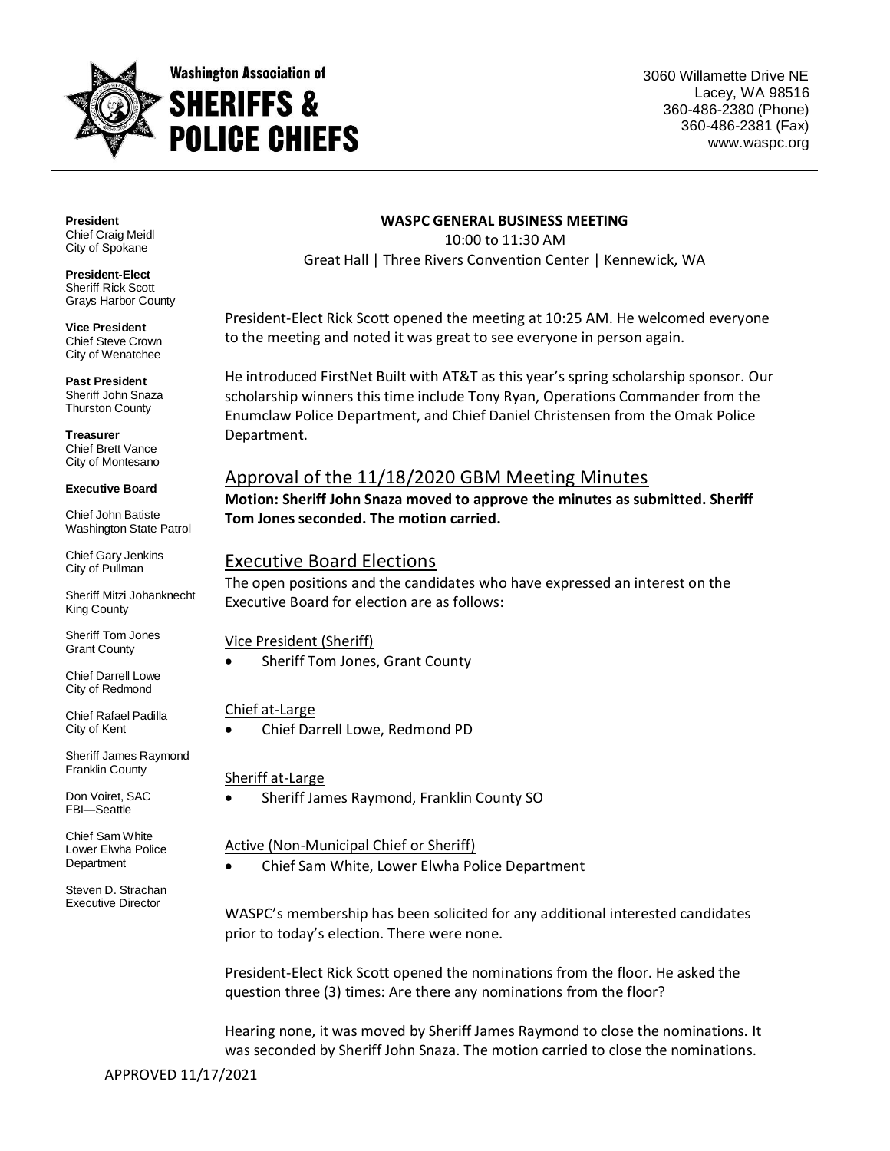

3060 Willamette Drive NE Lacey, WA 98516 360-486-2380 (Phone) 360-486-2381 (Fax) www.waspc.org

**President** Chief Craig Meidl City of Spokane

**President-Elect** Sheriff Rick Scott Grays Harbor County

**Vice President** Chief Steve Crown City of Wenatchee

**Past President** Sheriff John Snaza Thurston County

**Treasurer** Chief Brett Vance City of Montesano

#### **Executive Board**

Chief John Batiste Washington State Patrol

Chief Gary Jenkins City of Pullman

Sheriff Mitzi Johanknecht King County

Sheriff Tom Jones Grant County

Chief Darrell Lowe City of Redmond

Chief Rafael Padilla City of Kent

Sheriff James Raymond Franklin County

Don Voiret, SAC FBI—Seattle

Chief Sam White Lower Elwha Police **Department** 

Steven D. Strachan Executive Director

#### **WASPC GENERAL BUSINESS MEETING**

10:00 to 11:30 AM Great Hall | Three Rivers Convention Center | Kennewick, WA

President-Elect Rick Scott opened the meeting at 10:25 AM. He welcomed everyone to the meeting and noted it was great to see everyone in person again.

He introduced FirstNet Built with AT&T as this year's spring scholarship sponsor. Our scholarship winners this time include Tony Ryan, Operations Commander from the Enumclaw Police Department, and Chief Daniel Christensen from the Omak Police Department.

## Approval of the 11/18/2020 GBM Meeting Minutes

**Motion: Sheriff John Snaza moved to approve the minutes as submitted. Sheriff Tom Jones seconded. The motion carried.**

### Executive Board Elections

The open positions and the candidates who have expressed an interest on the Executive Board for election are as follows:

Vice President (Sheriff)

Sheriff Tom Jones, Grant County

### Chief at-Large

Chief Darrell Lowe, Redmond PD

#### Sheriff at-Large

Sheriff James Raymond, Franklin County SO

#### Active (Non-Municipal Chief or Sheriff)

Chief Sam White, Lower Elwha Police Department

WASPC's membership has been solicited for any additional interested candidates prior to today's election. There were none.

President-Elect Rick Scott opened the nominations from the floor. He asked the question three (3) times: Are there any nominations from the floor?

Hearing none, it was moved by Sheriff James Raymond to close the nominations. It was seconded by Sheriff John Snaza. The motion carried to close the nominations.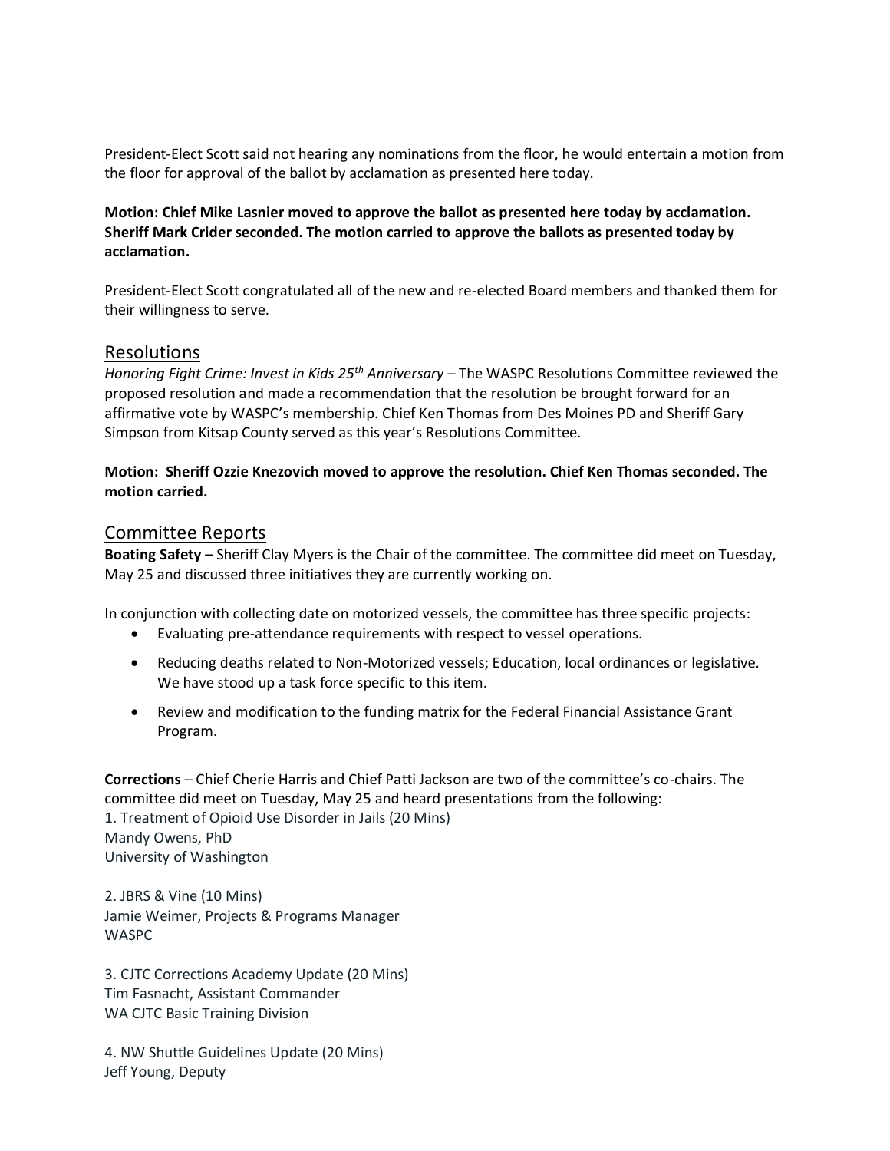President-Elect Scott said not hearing any nominations from the floor, he would entertain a motion from the floor for approval of the ballot by acclamation as presented here today.

### **Motion: Chief Mike Lasnier moved to approve the ballot as presented here today by acclamation. Sheriff Mark Crider seconded. The motion carried to approve the ballots as presented today by acclamation.**

President-Elect Scott congratulated all of the new and re-elected Board members and thanked them for their willingness to serve.

### Resolutions

*Honoring Fight Crime: Invest in Kids 25th Anniversary* – The WASPC Resolutions Committee reviewed the proposed resolution and made a recommendation that the resolution be brought forward for an affirmative vote by WASPC's membership. Chief Ken Thomas from Des Moines PD and Sheriff Gary Simpson from Kitsap County served as this year's Resolutions Committee.

### **Motion: Sheriff Ozzie Knezovich moved to approve the resolution. Chief Ken Thomas seconded. The motion carried.**

### Committee Reports

**Boating Safety** – Sheriff Clay Myers is the Chair of the committee. The committee did meet on Tuesday, May 25 and discussed three initiatives they are currently working on.

In conjunction with collecting date on motorized vessels, the committee has three specific projects:

- Evaluating pre-attendance requirements with respect to vessel operations.
- Reducing deaths related to Non-Motorized vessels; Education, local ordinances or legislative. We have stood up a task force specific to this item.
- Review and modification to the funding matrix for the Federal Financial Assistance Grant Program.

**Corrections** – Chief Cherie Harris and Chief Patti Jackson are two of the committee's co-chairs. The committee did meet on Tuesday, May 25 and heard presentations from the following: 1. Treatment of Opioid Use Disorder in Jails (20 Mins) Mandy Owens, PhD University of Washington

2. JBRS & Vine (10 Mins) Jamie Weimer, Projects & Programs Manager WASPC

3. CJTC Corrections Academy Update (20 Mins) Tim Fasnacht, Assistant Commander WA CJTC Basic Training Division

4. NW Shuttle Guidelines Update (20 Mins) Jeff Young, Deputy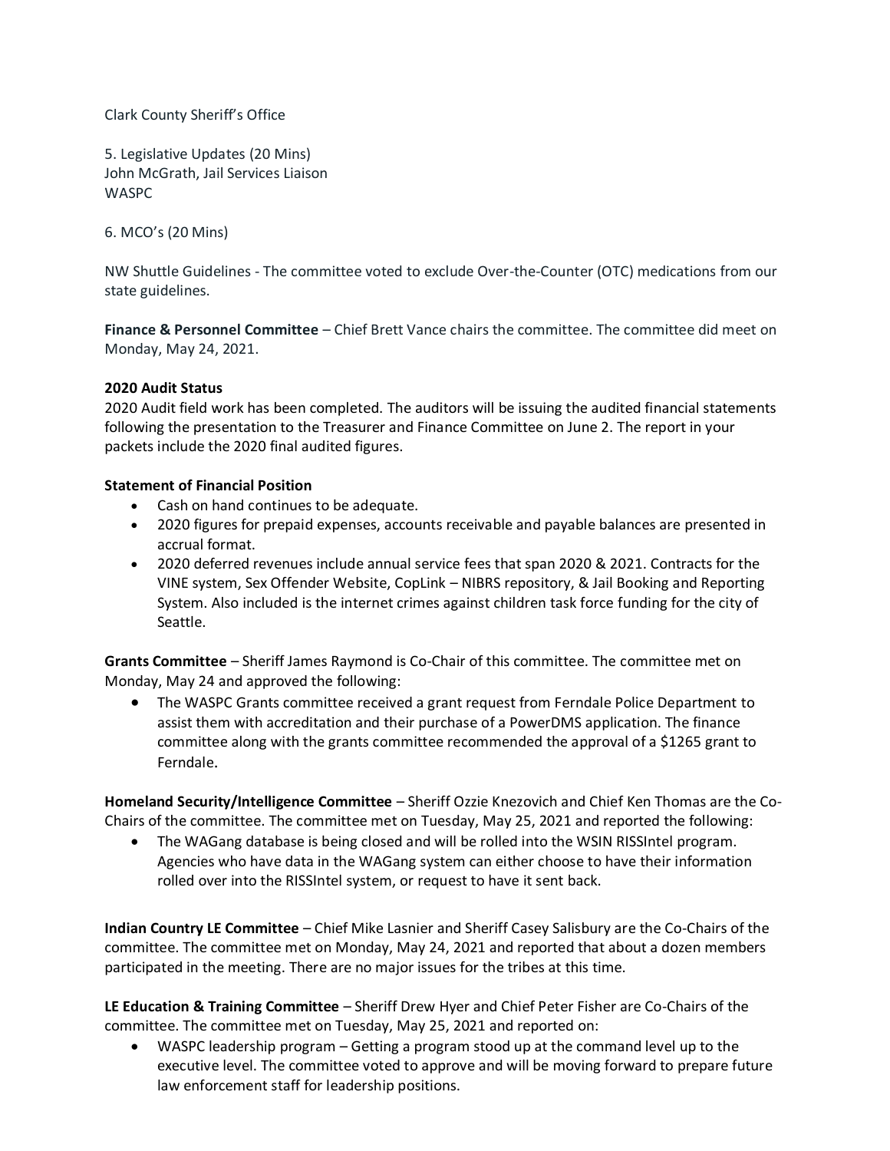Clark County Sheriff's Office

5. Legislative Updates (20 Mins) John McGrath, Jail Services Liaison WASPC

6. MCO's (20 Mins)

NW Shuttle Guidelines - The committee voted to exclude Over-the-Counter (OTC) medications from our state guidelines.

**Finance & Personnel Committee** – Chief Brett Vance chairs the committee. The committee did meet on Monday, May 24, 2021.

### **2020 Audit Status**

2020 Audit field work has been completed. The auditors will be issuing the audited financial statements following the presentation to the Treasurer and Finance Committee on June 2. The report in your packets include the 2020 final audited figures.

#### **Statement of Financial Position**

- Cash on hand continues to be adequate.
- 2020 figures for prepaid expenses, accounts receivable and payable balances are presented in accrual format.
- 2020 deferred revenues include annual service fees that span 2020 & 2021. Contracts for the VINE system, Sex Offender Website, CopLink – NIBRS repository, & Jail Booking and Reporting System. Also included is the internet crimes against children task force funding for the city of Seattle.

**Grants Committee** – Sheriff James Raymond is Co-Chair of this committee. The committee met on Monday, May 24 and approved the following:

 The WASPC Grants committee received a grant request from Ferndale Police Department to assist them with accreditation and their purchase of a PowerDMS application. The finance committee along with the grants committee recommended the approval of a \$1265 grant to Ferndale.

**Homeland Security/Intelligence Committee** – Sheriff Ozzie Knezovich and Chief Ken Thomas are the Co-Chairs of the committee. The committee met on Tuesday, May 25, 2021 and reported the following:

 The WAGang database is being closed and will be rolled into the WSIN RISSIntel program. Agencies who have data in the WAGang system can either choose to have their information rolled over into the RISSIntel system, or request to have it sent back.

**Indian Country LE Committee** – Chief Mike Lasnier and Sheriff Casey Salisbury are the Co-Chairs of the committee. The committee met on Monday, May 24, 2021 and reported that about a dozen members participated in the meeting. There are no major issues for the tribes at this time.

**LE Education & Training Committee** – Sheriff Drew Hyer and Chief Peter Fisher are Co-Chairs of the committee. The committee met on Tuesday, May 25, 2021 and reported on:

 WASPC leadership program – Getting a program stood up at the command level up to the executive level. The committee voted to approve and will be moving forward to prepare future law enforcement staff for leadership positions.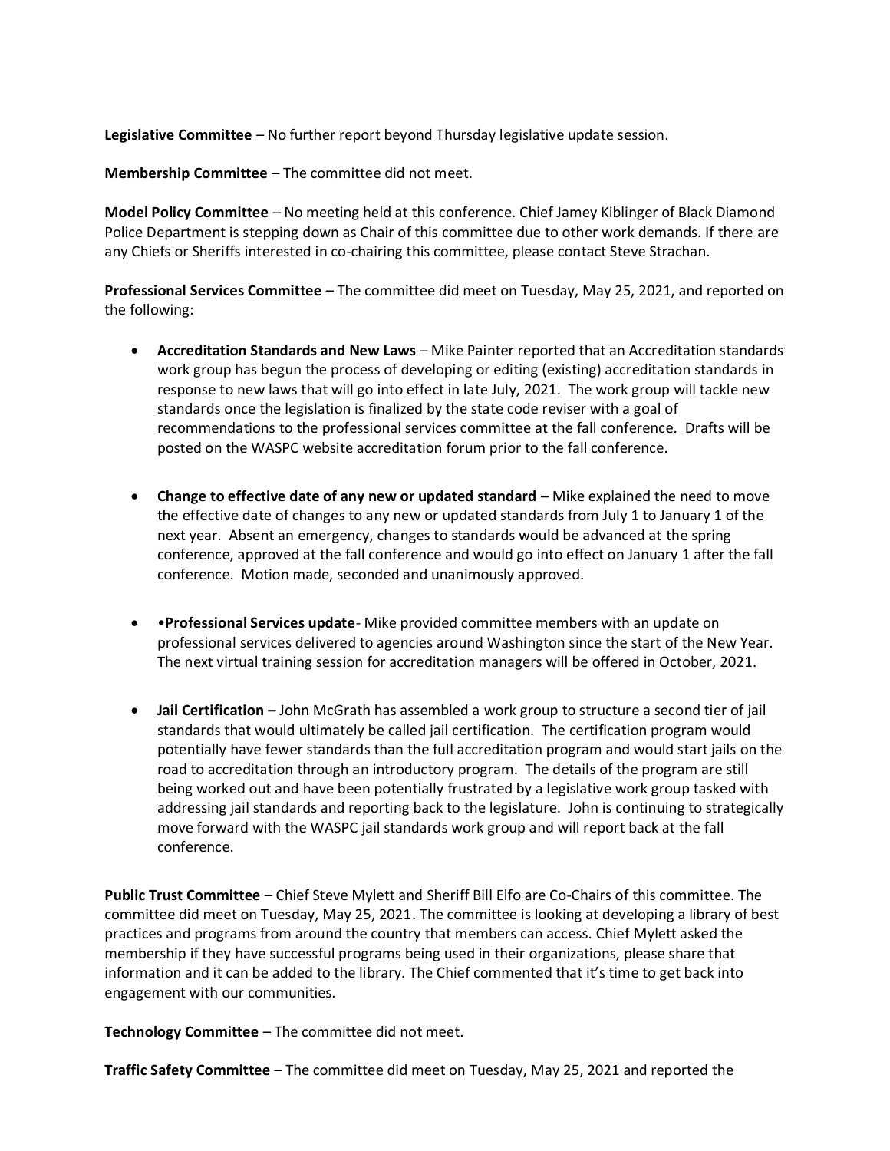**Legislative Committee** – No further report beyond Thursday legislative update session.

**Membership Committee** – The committee did not meet.

**Model Policy Committee** – No meeting held at this conference. Chief Jamey Kiblinger of Black Diamond Police Department is stepping down as Chair of this committee due to other work demands. If there are any Chiefs or Sheriffs interested in co-chairing this committee, please contact Steve Strachan.

**Professional Services Committee** – The committee did meet on Tuesday, May 25, 2021, and reported on the following:

- **Accreditation Standards and New Laws** Mike Painter reported that an Accreditation standards work group has begun the process of developing or editing (existing) accreditation standards in response to new laws that will go into effect in late July, 2021. The work group will tackle new standards once the legislation is finalized by the state code reviser with a goal of recommendations to the professional services committee at the fall conference. Drafts will be posted on the WASPC website accreditation forum prior to the fall conference.
- **Change to effective date of any new or updated standard Mike explained the need to move** the effective date of changes to any new or updated standards from July 1 to January 1 of the next year. Absent an emergency, changes to standards would be advanced at the spring conference, approved at the fall conference and would go into effect on January 1 after the fall conference. Motion made, seconded and unanimously approved.
- •**Professional Services update** Mike provided committee members with an update on professional services delivered to agencies around Washington since the start of the New Year. The next virtual training session for accreditation managers will be offered in October, 2021.
- **Jail Certification –** John McGrath has assembled a work group to structure a second tier of jail standards that would ultimately be called jail certification. The certification program would potentially have fewer standards than the full accreditation program and would start jails on the road to accreditation through an introductory program. The details of the program are still being worked out and have been potentially frustrated by a legislative work group tasked with addressing jail standards and reporting back to the legislature. John is continuing to strategically move forward with the WASPC jail standards work group and will report back at the fall conference.

**Public Trust Committee** – Chief Steve Mylett and Sheriff Bill Elfo are Co-Chairs of this committee. The committee did meet on Tuesday, May 25, 2021. The committee is looking at developing a library of best practices and programs from around the country that members can access. Chief Mylett asked the membership if they have successful programs being used in their organizations, please share that information and it can be added to the library. The Chief commented that it's time to get back into engagement with our communities.

**Technology Committee** – The committee did not meet.

**Traffic Safety Committee** – The committee did meet on Tuesday, May 25, 2021 and reported the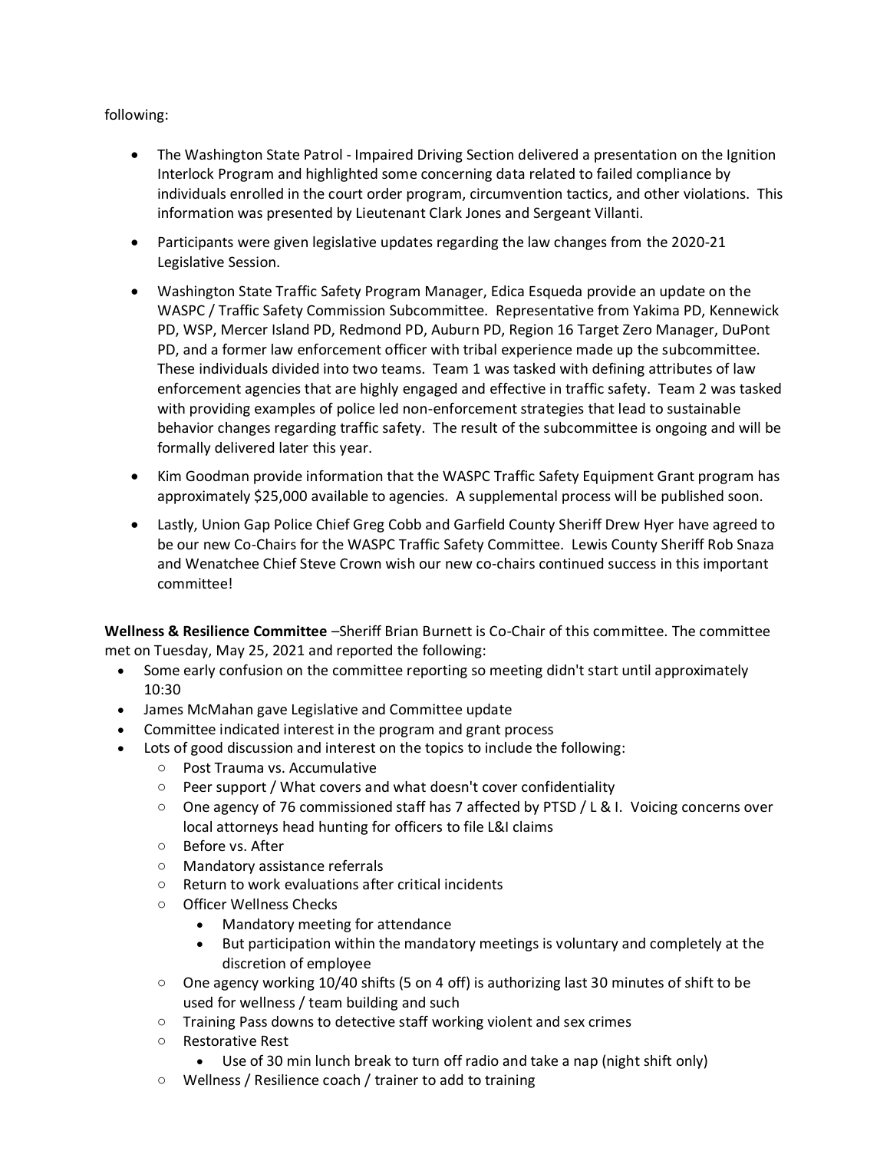### following:

- The Washington State Patrol Impaired Driving Section delivered a presentation on the Ignition Interlock Program and highlighted some concerning data related to failed compliance by individuals enrolled in the court order program, circumvention tactics, and other violations. This information was presented by Lieutenant Clark Jones and Sergeant Villanti.
- Participants were given legislative updates regarding the law changes from the 2020-21 Legislative Session.
- Washington State Traffic Safety Program Manager, Edica Esqueda provide an update on the WASPC / Traffic Safety Commission Subcommittee. Representative from Yakima PD, Kennewick PD, WSP, Mercer Island PD, Redmond PD, Auburn PD, Region 16 Target Zero Manager, DuPont PD, and a former law enforcement officer with tribal experience made up the subcommittee. These individuals divided into two teams. Team 1 was tasked with defining attributes of law enforcement agencies that are highly engaged and effective in traffic safety. Team 2 was tasked with providing examples of police led non-enforcement strategies that lead to sustainable behavior changes regarding traffic safety. The result of the subcommittee is ongoing and will be formally delivered later this year.
- Kim Goodman provide information that the WASPC Traffic Safety Equipment Grant program has approximately \$25,000 available to agencies. A supplemental process will be published soon.
- Lastly, Union Gap Police Chief Greg Cobb and Garfield County Sheriff Drew Hyer have agreed to be our new Co-Chairs for the WASPC Traffic Safety Committee. Lewis County Sheriff Rob Snaza and Wenatchee Chief Steve Crown wish our new co-chairs continued success in this important committee!

**Wellness & Resilience Committee** –Sheriff Brian Burnett is Co-Chair of this committee. The committee met on Tuesday, May 25, 2021 and reported the following:

- Some early confusion on the committee reporting so meeting didn't start until approximately 10:30
- James McMahan gave Legislative and Committee update
- Committee indicated interest in the program and grant process
- Lots of good discussion and interest on the topics to include the following:
	- o Post Trauma vs. Accumulative
	- o Peer support / What covers and what doesn't cover confidentiality
	- o One agency of 76 commissioned staff has 7 affected by PTSD / L & I. Voicing concerns over local attorneys head hunting for officers to file L&I claims
	- o Before vs. After
	- o Mandatory assistance referrals
	- o Return to work evaluations after critical incidents
	- o Officer Wellness Checks
		- Mandatory meeting for attendance
		- But participation within the mandatory meetings is voluntary and completely at the discretion of employee
	- $\circ$  One agency working 10/40 shifts (5 on 4 off) is authorizing last 30 minutes of shift to be used for wellness / team building and such
	- o Training Pass downs to detective staff working violent and sex crimes
	- o Restorative Rest
		- Use of 30 min lunch break to turn off radio and take a nap (night shift only)
	- o Wellness / Resilience coach / trainer to add to training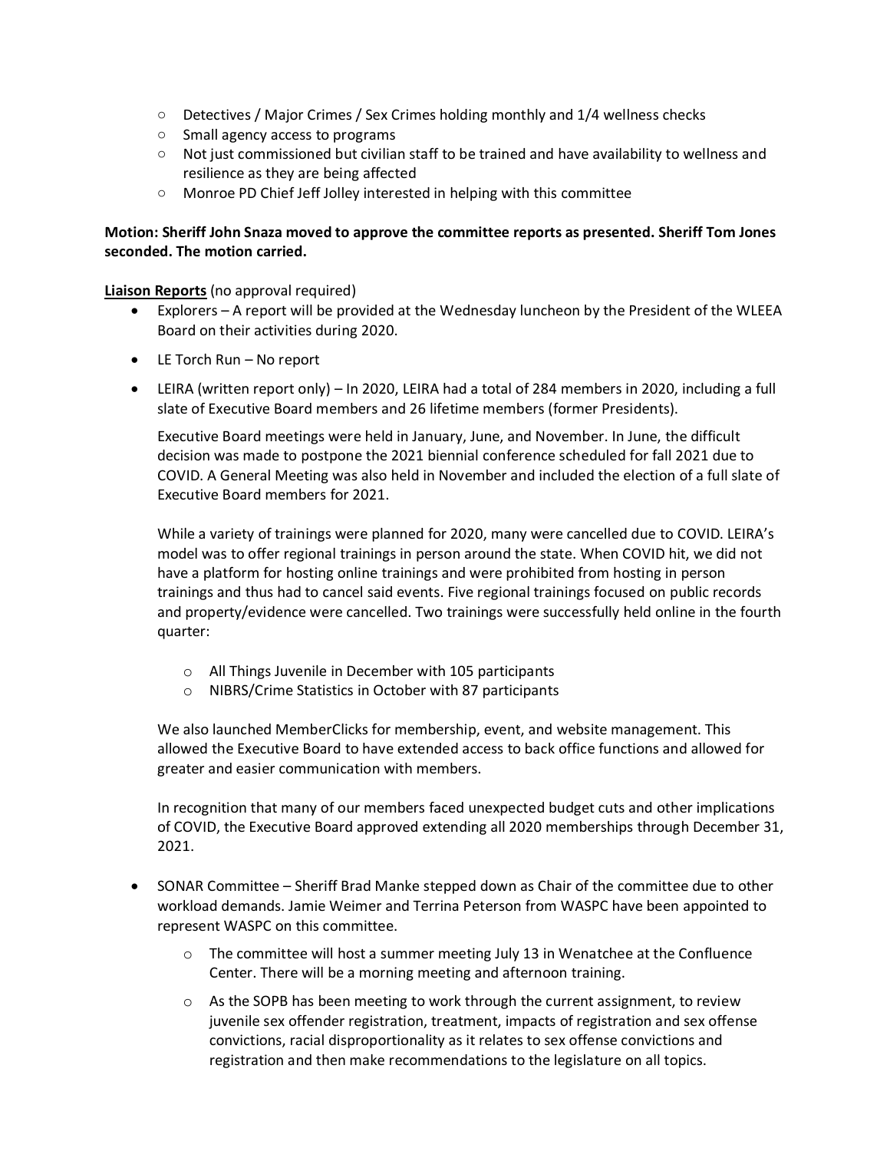- $\circ$  Detectives / Major Crimes / Sex Crimes holding monthly and  $1/4$  wellness checks
- o Small agency access to programs
- $\circ$  Not just commissioned but civilian staff to be trained and have availability to wellness and resilience as they are being affected
- o Monroe PD Chief Jeff Jolley interested in helping with this committee

### **Motion: Sheriff John Snaza moved to approve the committee reports as presented. Sheriff Tom Jones seconded. The motion carried.**

**Liaison Reports** (no approval required)

- Explorers A report will be provided at the Wednesday luncheon by the President of the WLEEA Board on their activities during 2020.
- LE Torch Run No report
- LEIRA (written report only) In 2020, LEIRA had a total of 284 members in 2020, including a full slate of Executive Board members and 26 lifetime members (former Presidents).

Executive Board meetings were held in January, June, and November. In June, the difficult decision was made to postpone the 2021 biennial conference scheduled for fall 2021 due to COVID. A General Meeting was also held in November and included the election of a full slate of Executive Board members for 2021.

While a variety of trainings were planned for 2020, many were cancelled due to COVID. LEIRA's model was to offer regional trainings in person around the state. When COVID hit, we did not have a platform for hosting online trainings and were prohibited from hosting in person trainings and thus had to cancel said events. Five regional trainings focused on public records and property/evidence were cancelled. Two trainings were successfully held online in the fourth quarter:

- o All Things Juvenile in December with 105 participants
- o NIBRS/Crime Statistics in October with 87 participants

We also launched MemberClicks for membership, event, and website management. This allowed the Executive Board to have extended access to back office functions and allowed for greater and easier communication with members.

In recognition that many of our members faced unexpected budget cuts and other implications of COVID, the Executive Board approved extending all 2020 memberships through December 31, 2021.

- SONAR Committee Sheriff Brad Manke stepped down as Chair of the committee due to other workload demands. Jamie Weimer and Terrina Peterson from WASPC have been appointed to represent WASPC on this committee.
	- $\circ$  The committee will host a summer meeting July 13 in Wenatchee at the Confluence Center. There will be a morning meeting and afternoon training.
	- $\circ$  As the SOPB has been meeting to work through the current assignment, to review juvenile sex offender registration, treatment, impacts of registration and sex offense convictions, racial disproportionality as it relates to sex offense convictions and registration and then make recommendations to the legislature on all topics.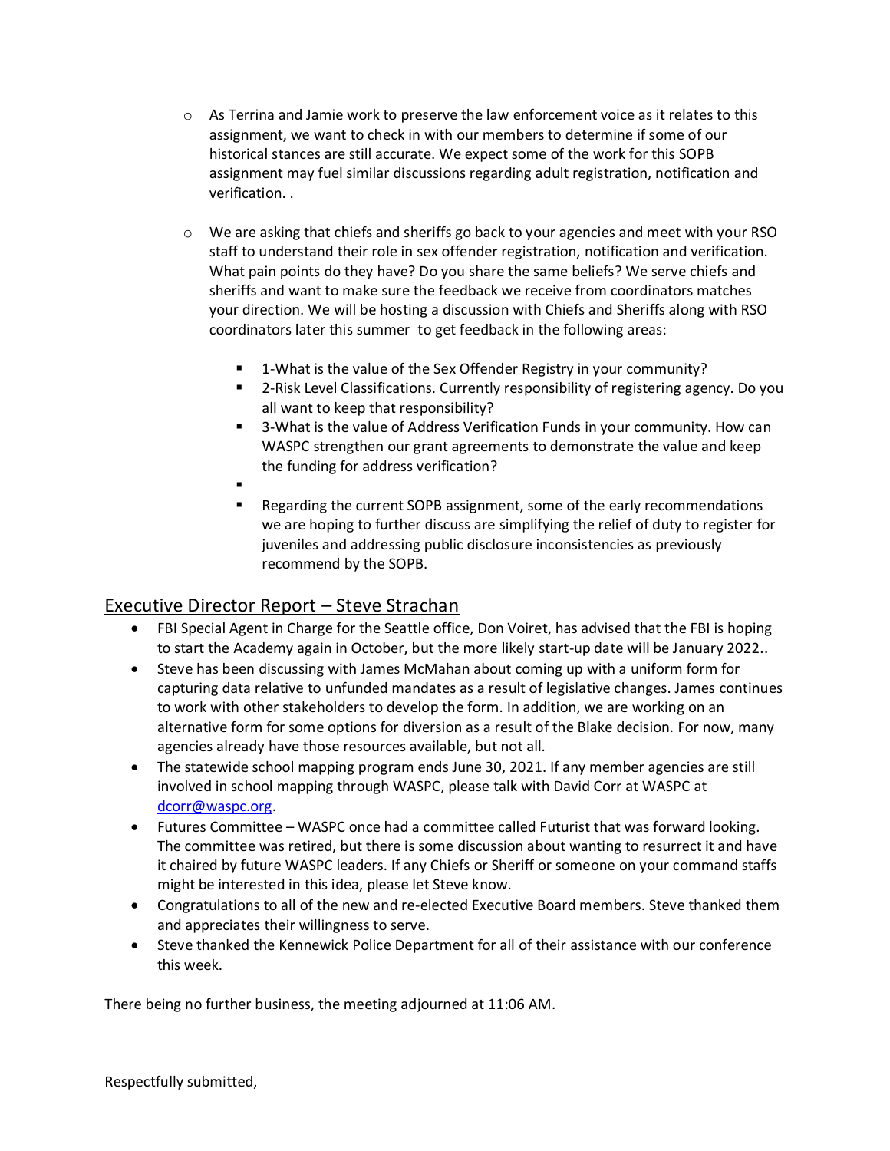- $\circ$  As Terrina and Jamie work to preserve the law enforcement voice as it relates to this assignment, we want to check in with our members to determine if some of our historical stances are still accurate. We expect some of the work for this SOPB assignment may fuel similar discussions regarding adult registration, notification and verification. .
- o We are asking that chiefs and sheriffs go back to your agencies and meet with your RSO staff to understand their role in sex offender registration, notification and verification. What pain points do they have? Do you share the same beliefs? We serve chiefs and sheriffs and want to make sure the feedback we receive from coordinators matches your direction. We will be hosting a discussion with Chiefs and Sheriffs along with RSO coordinators later this summer to get feedback in the following areas:
	- 1-What is the value of the Sex Offender Registry in your community?
	- 2-Risk Level Classifications. Currently responsibility of registering agency. Do you all want to keep that responsibility?
	- 3-What is the value of Address Verification Funds in your community. How can WASPC strengthen our grant agreements to demonstrate the value and keep the funding for address verification?
	- .
	- Regarding the current SOPB assignment, some of the early recommendations we are hoping to further discuss are simplifying the relief of duty to register for juveniles and addressing public disclosure inconsistencies as previously recommend by the SOPB.

# Executive Director Report – Steve Strachan

- FBI Special Agent in Charge for the Seattle office, Don Voiret, has advised that the FBI is hoping to start the Academy again in October, but the more likely start-up date will be January 2022..
- Steve has been discussing with James McMahan about coming up with a uniform form for capturing data relative to unfunded mandates as a result of legislative changes. James continues to work with other stakeholders to develop the form. In addition, we are working on an alternative form for some options for diversion as a result of the Blake decision. For now, many agencies already have those resources available, but not all.
- The statewide school mapping program ends June 30, 2021. If any member agencies are still involved in school mapping through WASPC, please talk with David Corr at WASPC at [dcorr@waspc.org.](mailto:dcorr@waspc.org)
- Futures Committee WASPC once had a committee called Futurist that was forward looking. The committee was retired, but there is some discussion about wanting to resurrect it and have it chaired by future WASPC leaders. If any Chiefs or Sheriff or someone on your command staffs might be interested in this idea, please let Steve know.
- Congratulations to all of the new and re-elected Executive Board members. Steve thanked them and appreciates their willingness to serve.
- Steve thanked the Kennewick Police Department for all of their assistance with our conference this week.

There being no further business, the meeting adjourned at 11:06 AM.